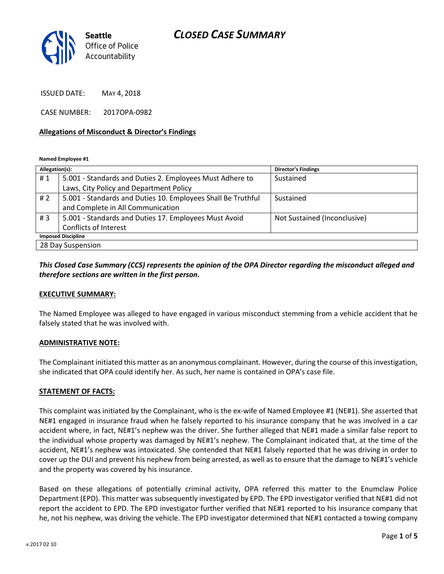# *CLOSED CASE SUMMARY*



ISSUED DATE: MAY 4, 2018

CASE NUMBER: 2017OPA-0982

#### **Allegations of Misconduct & Director's Findings**

**Named Employee #1**

| Allegation(s):            |                                                              | <b>Director's Findings</b>   |
|---------------------------|--------------------------------------------------------------|------------------------------|
| #1                        | 5.001 - Standards and Duties 2. Employees Must Adhere to     | Sustained                    |
|                           | Laws, City Policy and Department Policy                      |                              |
| # 2                       | 5.001 - Standards and Duties 10. Employees Shall Be Truthful | Sustained                    |
|                           | and Complete in All Communication                            |                              |
| #3                        | 5.001 - Standards and Duties 17. Employees Must Avoid        | Not Sustained (Inconclusive) |
|                           | <b>Conflicts of Interest</b>                                 |                              |
| <b>Imposed Discipline</b> |                                                              |                              |
| 28 Day Suspension         |                                                              |                              |

### *This Closed Case Summary (CCS) represents the opinion of the OPA Director regarding the misconduct alleged and therefore sections are written in the first person.*

#### **EXECUTIVE SUMMARY:**

The Named Employee was alleged to have engaged in various misconduct stemming from a vehicle accident that he falsely stated that he was involved with.

#### **ADMINISTRATIVE NOTE:**

The Complainant initiated this matter as an anonymous complainant. However, during the course of this investigation, she indicated that OPA could identify her. As such, her name is contained in OPA's case file.

#### **STATEMENT OF FACTS:**

This complaint was initiated by the Complainant, who is the ex-wife of Named Employee #1 (NE#1). She asserted that NE#1 engaged in insurance fraud when he falsely reported to his insurance company that he was involved in a car accident where, in fact, NE#1's nephew was the driver. She further alleged that NE#1 made a similar false report to the individual whose property was damaged by NE#1's nephew. The Complainant indicated that, at the time of the accident, NE#1's nephew was intoxicated. She contended that NE#1 falsely reported that he was driving in order to cover up the DUI and prevent his nephew from being arrested, as well as to ensure that the damage to NE#1's vehicle and the property was covered by his insurance.

Based on these allegations of potentially criminal activity, OPA referred this matter to the Enumclaw Police Department (EPD). This matter was subsequently investigated by EPD. The EPD investigator verified that NE#1 did not report the accident to EPD. The EPD investigator further verified that NE#1 reported to his insurance company that he, not his nephew, was driving the vehicle. The EPD investigator determined that NE#1 contacted a towing company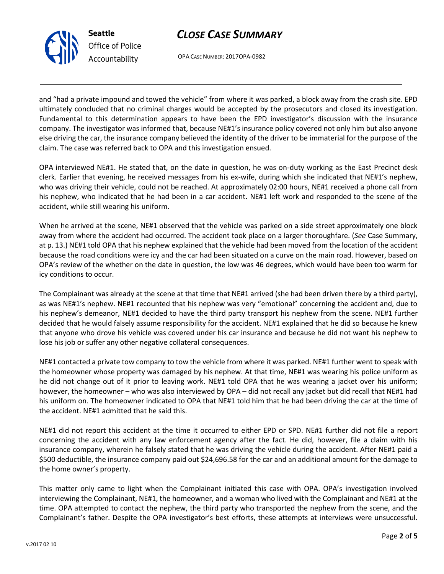# *CLOSE CASE SUMMARY*



OPA CASE NUMBER: 2017OPA-0982

and "had a private impound and towed the vehicle" from where it was parked, a block away from the crash site. EPD ultimately concluded that no criminal charges would be accepted by the prosecutors and closed its investigation. Fundamental to this determination appears to have been the EPD investigator's discussion with the insurance company. The investigator was informed that, because NE#1's insurance policy covered not only him but also anyone else driving the car, the insurance company believed the identity of the driver to be immaterial for the purpose of the claim. The case was referred back to OPA and this investigation ensued.

OPA interviewed NE#1. He stated that, on the date in question, he was on-duty working as the East Precinct desk clerk. Earlier that evening, he received messages from his ex-wife, during which she indicated that NE#1's nephew, who was driving their vehicle, could not be reached. At approximately 02:00 hours, NE#1 received a phone call from his nephew, who indicated that he had been in a car accident. NE#1 left work and responded to the scene of the accident, while still wearing his uniform.

When he arrived at the scene, NE#1 observed that the vehicle was parked on a side street approximately one block away from where the accident had occurred. The accident took place on a larger thoroughfare. (*See* Case Summary, at p. 13.) NE#1 told OPA that his nephew explained that the vehicle had been moved from the location of the accident because the road conditions were icy and the car had been situated on a curve on the main road. However, based on OPA's review of the whether on the date in question, the low was 46 degrees, which would have been too warm for icy conditions to occur.

The Complainant was already at the scene at that time that NE#1 arrived (she had been driven there by a third party), as was NE#1's nephew. NE#1 recounted that his nephew was very "emotional" concerning the accident and, due to his nephew's demeanor, NE#1 decided to have the third party transport his nephew from the scene. NE#1 further decided that he would falsely assume responsibility for the accident. NE#1 explained that he did so because he knew that anyone who drove his vehicle was covered under his car insurance and because he did not want his nephew to lose his job or suffer any other negative collateral consequences.

NE#1 contacted a private tow company to tow the vehicle from where it was parked. NE#1 further went to speak with the homeowner whose property was damaged by his nephew. At that time, NE#1 was wearing his police uniform as he did not change out of it prior to leaving work. NE#1 told OPA that he was wearing a jacket over his uniform; however, the homeowner – who was also interviewed by OPA – did not recall any jacket but did recall that NE#1 had his uniform on. The homeowner indicated to OPA that NE#1 told him that he had been driving the car at the time of the accident. NE#1 admitted that he said this.

NE#1 did not report this accident at the time it occurred to either EPD or SPD. NE#1 further did not file a report concerning the accident with any law enforcement agency after the fact. He did, however, file a claim with his insurance company, wherein he falsely stated that he was driving the vehicle during the accident. After NE#1 paid a \$500 deductible, the insurance company paid out \$24,696.58 for the car and an additional amount for the damage to the home owner's property.

This matter only came to light when the Complainant initiated this case with OPA. OPA's investigation involved interviewing the Complainant, NE#1, the homeowner, and a woman who lived with the Complainant and NE#1 at the time. OPA attempted to contact the nephew, the third party who transported the nephew from the scene, and the Complainant's father. Despite the OPA investigator's best efforts, these attempts at interviews were unsuccessful.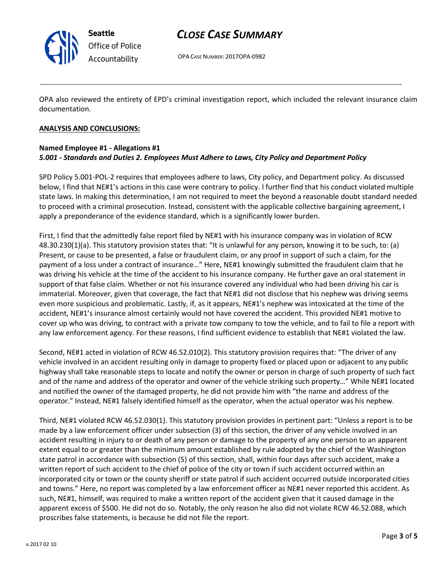

**Seattle** *Office of Police Accountability*

## *CLOSE CASE SUMMARY*

OPA CASE NUMBER: 2017OPA-0982

OPA also reviewed the entirety of EPD's criminal investigation report, which included the relevant insurance claim documentation.

### **ANALYSIS AND CONCLUSIONS:**

### **Named Employee #1 - Allegations #1** *5.001 - Standards and Duties 2. Employees Must Adhere to Laws, City Policy and Department Policy*

SPD Policy 5.001-POL-2 requires that employees adhere to laws, City policy, and Department policy. As discussed below, I find that NE#1's actions in this case were contrary to policy. I further find that his conduct violated multiple state laws. In making this determination, I am not required to meet the beyond a reasonable doubt standard needed to proceed with a criminal prosecution. Instead, consistent with the applicable collective bargaining agreement, I apply a preponderance of the evidence standard, which is a significantly lower burden.

First, I find that the admittedly false report filed by NE#1 with his insurance company was in violation of RCW 48.30.230(1)(a). This statutory provision states that: "It is unlawful for any person, knowing it to be such, to: (a) Present, or cause to be presented, a false or fraudulent claim, or any proof in support of such a claim, for the payment of a loss under a contract of insurance…" Here, NE#1 knowingly submitted the fraudulent claim that he was driving his vehicle at the time of the accident to his insurance company. He further gave an oral statement in support of that false claim. Whether or not his insurance covered any individual who had been driving his car is immaterial. Moreover, given that coverage, the fact that NE#1 did not disclose that his nephew was driving seems even more suspicious and problematic. Lastly, if, as it appears, NE#1's nephew was intoxicated at the time of the accident, NE#1's insurance almost certainly would not have covered the accident. This provided NE#1 motive to cover up who was driving, to contract with a private tow company to tow the vehicle, and to fail to file a report with any law enforcement agency. For these reasons, I find sufficient evidence to establish that NE#1 violated the law.

Second, NE#1 acted in violation of RCW 46.52.010(2). This statutory provision requires that: "The driver of any vehicle involved in an accident resulting only in damage to property fixed or placed upon or adjacent to any public highway shall take reasonable steps to locate and notify the owner or person in charge of such property of such fact and of the name and address of the operator and owner of the vehicle striking such property…" While NE#1 located and notified the owner of the damaged property, he did not provide him with "the name and address of the operator." Instead, NE#1 falsely identified himself as the operator, when the actual operator was his nephew.

Third, NE#1 violated RCW 46.52.030(1). This statutory provision provides in pertinent part: "Unless a report is to be made by a law enforcement officer under subsection (3) of this section, the driver of any vehicle involved in an accident resulting in injury to or death of any person or damage to the property of any one person to an apparent extent equal to or greater than the minimum amount established by rule adopted by the chief of the Washington state patrol in accordance with subsection (5) of this section, shall, within four days after such accident, make a written report of such accident to the chief of police of the city or town if such accident occurred within an incorporated city or town or the county sheriff or state patrol if such accident occurred outside incorporated cities and towns." Here, no report was completed by a law enforcement officer as NE#1 never reported this accident. As such, NE#1, himself, was required to make a written report of the accident given that it caused damage in the apparent excess of \$500. He did not do so. Notably, the only reason he also did not violate RCW 46.52.088, which proscribes false statements, is because he did not file the report.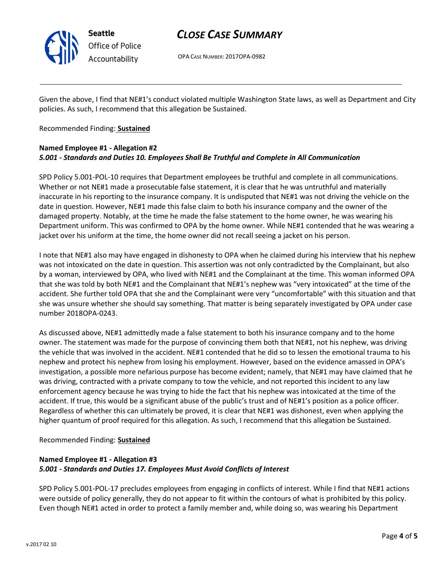

# *CLOSE CASE SUMMARY*

OPA CASE NUMBER: 2017OPA-0982

Given the above, I find that NE#1's conduct violated multiple Washington State laws, as well as Department and City policies. As such, I recommend that this allegation be Sustained.

### Recommended Finding: **Sustained**

### **Named Employee #1 - Allegation #2** *5.001 - Standards and Duties 10. Employees Shall Be Truthful and Complete in All Communication*

SPD Policy 5.001-POL-10 requires that Department employees be truthful and complete in all communications. Whether or not NE#1 made a prosecutable false statement, it is clear that he was untruthful and materially inaccurate in his reporting to the insurance company. It is undisputed that NE#1 was not driving the vehicle on the date in question. However, NE#1 made this false claim to both his insurance company and the owner of the damaged property. Notably, at the time he made the false statement to the home owner, he was wearing his Department uniform. This was confirmed to OPA by the home owner. While NE#1 contended that he was wearing a jacket over his uniform at the time, the home owner did not recall seeing a jacket on his person.

I note that NE#1 also may have engaged in dishonesty to OPA when he claimed during his interview that his nephew was not intoxicated on the date in question. This assertion was not only contradicted by the Complainant, but also by a woman, interviewed by OPA, who lived with NE#1 and the Complainant at the time. This woman informed OPA that she was told by both NE#1 and the Complainant that NE#1's nephew was "very intoxicated" at the time of the accident. She further told OPA that she and the Complainant were very "uncomfortable" with this situation and that she was unsure whether she should say something. That matter is being separately investigated by OPA under case number 2018OPA-0243.

As discussed above, NE#1 admittedly made a false statement to both his insurance company and to the home owner. The statement was made for the purpose of convincing them both that NE#1, not his nephew, was driving the vehicle that was involved in the accident. NE#1 contended that he did so to lessen the emotional trauma to his nephew and protect his nephew from losing his employment. However, based on the evidence amassed in OPA's investigation, a possible more nefarious purpose has become evident; namely, that NE#1 may have claimed that he was driving, contracted with a private company to tow the vehicle, and not reported this incident to any law enforcement agency because he was trying to hide the fact that his nephew was intoxicated at the time of the accident. If true, this would be a significant abuse of the public's trust and of NE#1's position as a police officer. Regardless of whether this can ultimately be proved, it is clear that NE#1 was dishonest, even when applying the higher quantum of proof required for this allegation. As such, I recommend that this allegation be Sustained.

#### Recommended Finding: **Sustained**

## **Named Employee #1 - Allegation #3** *5.001 - Standards and Duties 17. Employees Must Avoid Conflicts of Interest*

SPD Policy 5.001-POL-17 precludes employees from engaging in conflicts of interest. While I find that NE#1 actions were outside of policy generally, they do not appear to fit within the contours of what is prohibited by this policy. Even though NE#1 acted in order to protect a family member and, while doing so, was wearing his Department